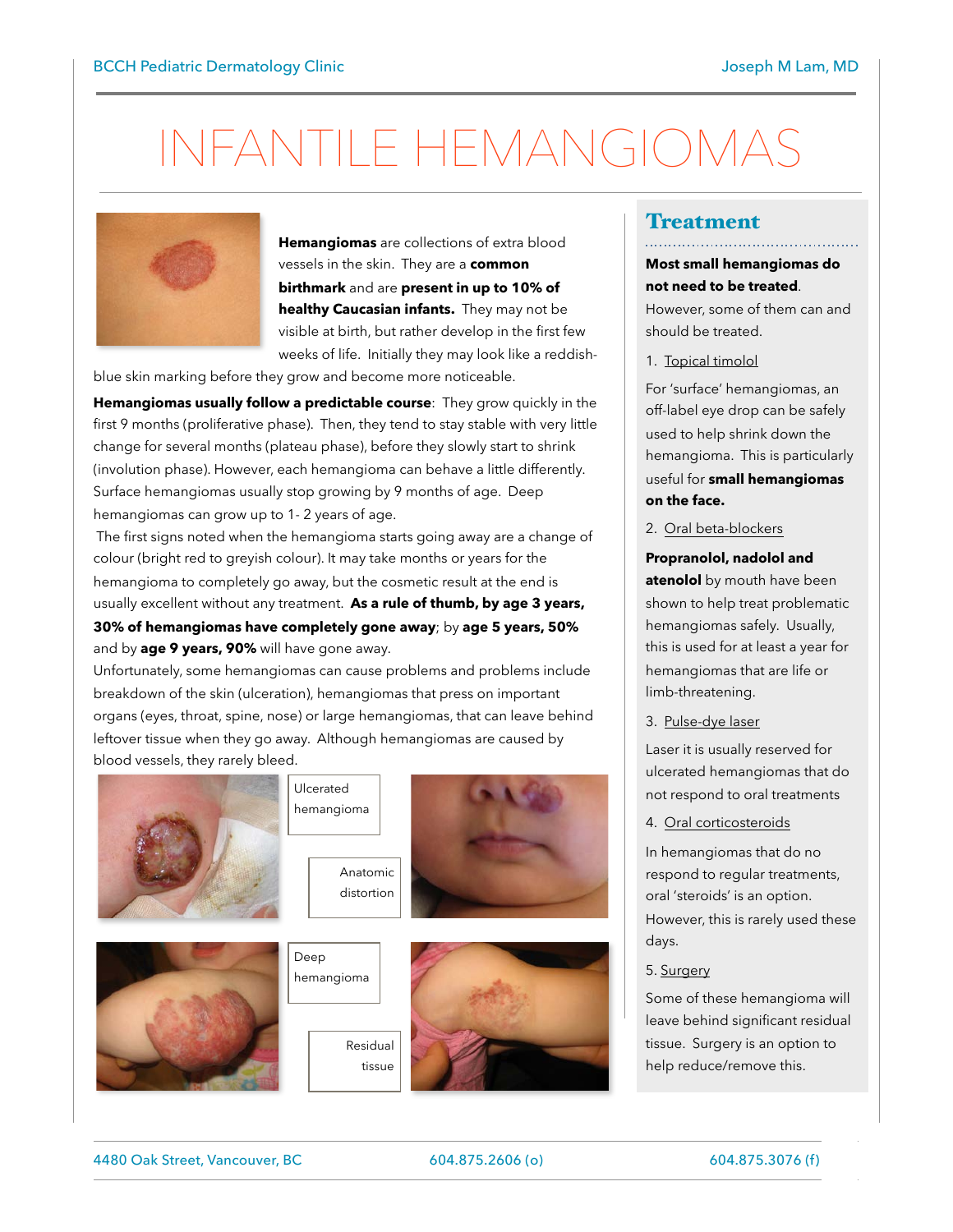# INFANTILE HEMANGIOMAS



**Hemangiomas** are collections of extra blood vessels in the skin. They are a **common birthmark** and are **present in up to 10% of healthy Caucasian infants.** They may not be visible at birth, but rather develop in the first few weeks of life. Initially they may look like a reddish-

blue skin marking before they grow and become more noticeable.

**Hemangiomas usually follow a predictable course**: They grow quickly in the first 9 months (proliferative phase). Then, they tend to stay stable with very little change for several months (plateau phase), before they slowly start to shrink (involution phase). However, each hemangioma can behave a little differently. Surface hemangiomas usually stop growing by 9 months of age. Deep hemangiomas can grow up to 1- 2 years of age.

 The first signs noted when the hemangioma starts going away are a change of colour (bright red to greyish colour). It may take months or years for the hemangioma to completely go away, but the cosmetic result at the end is usually excellent without any treatment. **As a rule of thumb, by age 3 years,** 

**30% of hemangiomas have completely gone away**; by **age 5 years, 50%** and by **age 9 years, 90%** will have gone away.

Unfortunately, some hemangiomas can cause problems and problems include breakdown of the skin (ulceration), hemangiomas that press on important organs (eyes, throat, spine, nose) or large hemangiomas, that can leave behind leftover tissue when they go away. Although hemangiomas are caused by blood vessels, they rarely bleed.

Ulcerated







Residual

tissue



### Treatment

#### **Most small hemangiomas do not need to be treated**.

However, some of them can and should be treated.

1. Topical timolol

For 'surface' hemangiomas, an off-label eye drop can be safely used to help shrink down the hemangioma. This is particularly useful for **small hemangiomas on the face.**

#### 2. Oral beta-blockers

**Propranolol, nadolol and atenolol** by mouth have been shown to help treat problematic hemangiomas safely. Usually, this is used for at least a year for hemangiomas that are life or limb-threatening.

3. Pulse-dye laser

Laser it is usually reserved for ulcerated hemangiomas that do not respond to oral treatments

#### 4. Oral corticosteroids

In hemangiomas that do no respond to regular treatments, oral 'steroids' is an option. However, this is rarely used these days.

#### 5. Surgery

Some of these hemangioma will leave behind significant residual tissue. Surgery is an option to help reduce/remove this.